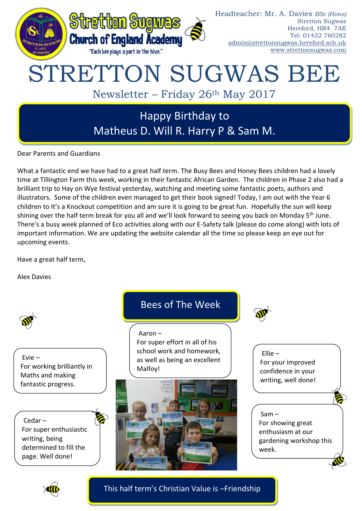

Dear Parents and Guardians

What a fantastic end we have had to a great half term. The Busy Bees and Honey Bees children had a lovely time at Tillington Farm this week, working in their fantastic African Garden. The children in Phase 2 also had a brilliant trip to Hay on Wye festival yesterday, watching and meeting some fantastic poets, authors and illustrators. Some of the children even managed to get their book signed! Today, I am out with the Year 6 children to It's a Knockout competition and am sure it is going to be great fun. Hopefully the sun will keep shining over the half term break for you all and we'll look forward to seeing you back on Monday 5<sup>th</sup> June. There's a busy week planned of Eco activities along with our E-Safety talk (please do come along) with lots of important information. We are updating the website calendar all the time so please keep an eye out for upcoming events.

Have a great half term,

Alex Davies



Evie – For working brilliantly in Maths and making fantastic progress.

Cedar – For super enthusiastic writing, being determined to fill the page. Well done!

## Bees of The Week

Aaron – For super effort in all of his school work and homework, as well as being an excellent Malfoy!









This half term's Christian Value is –Friendship